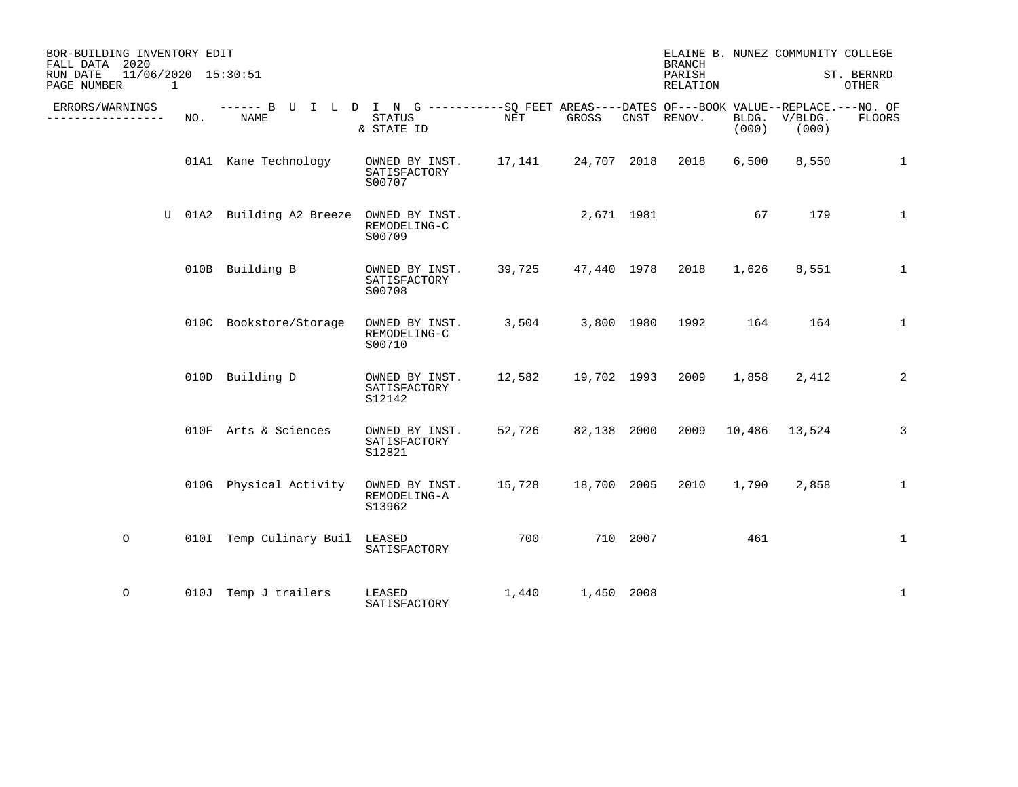| BOR-BUILDING INVENTORY EDIT<br>FALL DATA 2020<br>11/06/2020 15:30:51<br>RUN DATE<br>PAGE NUMBER<br>$\overline{1}$ |     |                                                                                                     |                                                                  |            |                    |          | <b>BRANCH</b><br>PARISH<br>RELATION |       | ELAINE B. NUNEZ COMMUNITY COLLEGE | ST. BERNRD<br>OTHER |
|-------------------------------------------------------------------------------------------------------------------|-----|-----------------------------------------------------------------------------------------------------|------------------------------------------------------------------|------------|--------------------|----------|-------------------------------------|-------|-----------------------------------|---------------------|
| ERRORS/WARNINGS<br>-----------                                                                                    | NO. | ------ B U I L D I N G -----------SQ FEET AREAS----DATES OF---BOOK VALUE--REPLACE.---NO. OF<br>NAME | STATUS<br>& STATE ID                                             | NET        | GROSS              |          | CNST RENOV.                         | (000) | BLDG. V/BLDG.<br>(000)            | FLOORS              |
|                                                                                                                   |     | 01A1 Kane Technology                                                                                | OWNED BY INST. 17,141 24,707 2018<br>SATISFACTORY<br>S00707      |            |                    |          | 2018                                | 6,500 | 8,550                             | 1                   |
|                                                                                                                   |     | U 01A2 Building A2 Breeze                                                                           | OWNED BY INST.<br>REMODELING-C<br>S00709                         | 2,671 1981 |                    |          |                                     | 67    | 179                               | $\mathbf{1}$        |
|                                                                                                                   |     | 010B Building B                                                                                     | OWNED BY INST.<br>SATISFACTORY<br>S00708                         |            | 39,725 47,440 1978 |          | 2018                                | 1,626 | 8,551                             | $\mathbf{1}$        |
|                                                                                                                   |     | 010C Bookstore/Storage                                                                              | OWNED BY INST.<br>REMODELING-C<br>S00710                         |            |                    |          | 3,504 3,800 1980 1992 164           |       | 164                               | $\mathbf{1}$        |
|                                                                                                                   |     | 010D Building D                                                                                     | OWNED BY INST. 12,582 19,702 1993<br>SATISFACTORY<br>S12142      |            |                    |          | 2009                                | 1,858 | 2,412                             | $\sqrt{2}$          |
|                                                                                                                   |     | 010F Arts & Sciences                                                                                | OWNED BY INST.<br>SATISFACTORY<br>S12821                         |            | 52,726 82,138 2000 |          |                                     |       | 2009 10,486 13,524                | $\mathsf 3$         |
|                                                                                                                   |     | 010G Physical Activity                                                                              | OWNED BY INST. 15,728 18,700 2005 2010<br>REMODELING-A<br>S13962 |            |                    |          |                                     | 1,790 | 2,858                             | 1                   |
| $\circ$                                                                                                           |     | 010I Temp Culinary Buil LEASED                                                                      | SATISFACTORY                                                     | 700        |                    | 710 2007 |                                     | 461   |                                   | 1                   |
| $\circ$                                                                                                           |     | 010J Temp J trailers                                                                                | LEASED<br>SATISFACTORY                                           | 1,440      | 1,450 2008         |          |                                     |       |                                   | $\mathbf{1}$        |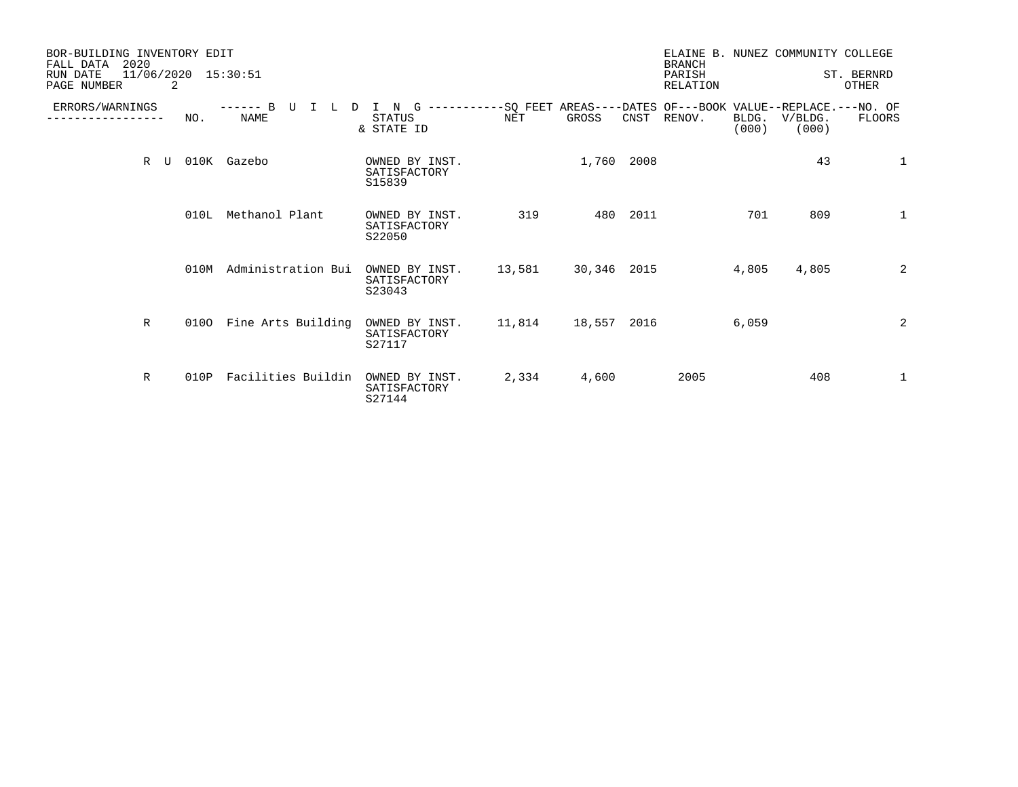| BOR-BUILDING INVENTORY EDIT<br>2020<br>FALL DATA<br>11/06/2020 15:30:51<br>RUN DATE<br>PAGE NUMBER<br>2 |      |                                                |                                          |                                                                             |             |          | <b>BRANCH</b><br>PARISH<br>RELATION |                | ELAINE B. NUNEZ COMMUNITY COLLEGE | ST. BERNRD<br><b>OTHER</b> |
|---------------------------------------------------------------------------------------------------------|------|------------------------------------------------|------------------------------------------|-----------------------------------------------------------------------------|-------------|----------|-------------------------------------|----------------|-----------------------------------|----------------------------|
| ERRORS/WARNINGS                                                                                         | NO.  | $--- - - B$<br>TT<br>T<br>$\Box$<br>т.<br>NAME | I N G<br><b>STATUS</b><br>& STATE ID     | -----------SQ FEET AREAS----DATES OF---BOOK VALUE--REPLACE.---NO. OF<br>NET | GROSS       |          | CNST RENOV.                         | BLDG.<br>(000) | V/BLDG.<br>(000)                  | FLOORS                     |
| R<br>U                                                                                                  |      | 010K Gazebo                                    | OWNED BY INST.<br>SATISFACTORY<br>S15839 |                                                                             | 1,760 2008  |          |                                     |                | 43                                | $\mathbf{1}$               |
|                                                                                                         | 010L | Methanol Plant                                 | OWNED BY INST.<br>SATISFACTORY<br>S22050 | 319                                                                         |             | 480 2011 |                                     | 701            | 809                               | $\mathbf{1}$               |
|                                                                                                         | 010M | Administration Bui                             | OWNED BY INST.<br>SATISFACTORY<br>S23043 | 13,581                                                                      | 30,346 2015 |          |                                     | 4,805          | 4,805                             | 2                          |
| $\mathbb R$                                                                                             | 0100 | Fine Arts Building                             | OWNED BY INST.<br>SATISFACTORY<br>S27117 | 11,814                                                                      | 18,557 2016 |          |                                     | 6,059          |                                   | 2                          |
| $\mathbb{R}$                                                                                            | 010P | Facilities Buildin                             | OWNED BY INST.<br>SATISFACTORY<br>S27144 | 2,334                                                                       | 4,600       |          | 2005                                |                | 408                               | $\mathbf{1}$               |